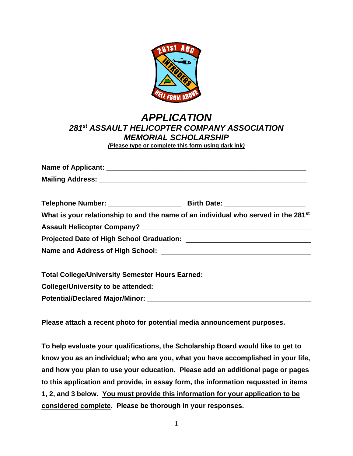

## *APPLICATION 281st ASSAULT HELICOPTER COMPANY ASSOCIATION MEMORIAL SCHOLARSHIP (***Please type or complete this form using dark ink***)*

| What is your relationship to and the name of an individual who served in the 281 <sup>st</sup> |                                                                                                                      |  |  |  |  |
|------------------------------------------------------------------------------------------------|----------------------------------------------------------------------------------------------------------------------|--|--|--|--|
|                                                                                                |                                                                                                                      |  |  |  |  |
|                                                                                                |                                                                                                                      |  |  |  |  |
|                                                                                                |                                                                                                                      |  |  |  |  |
| Total College/University Semester Hours Earned: ________________________________               | <u> 1990 - Jan James James James James James James James James James James James James James James James James J</u> |  |  |  |  |
|                                                                                                |                                                                                                                      |  |  |  |  |
| <b>Potential/Declared Major/Minor:</b>                                                         |                                                                                                                      |  |  |  |  |

**Please attach a recent photo for potential media announcement purposes.**

**To help evaluate your qualifications, the Scholarship Board would like to get to know you as an individual; who are you, what you have accomplished in your life, and how you plan to use your education. Please add an additional page or pages to this application and provide, in essay form, the information requested in items 1, 2, and 3 below. You must provide this information for your application to be considered complete. Please be thorough in your responses.**